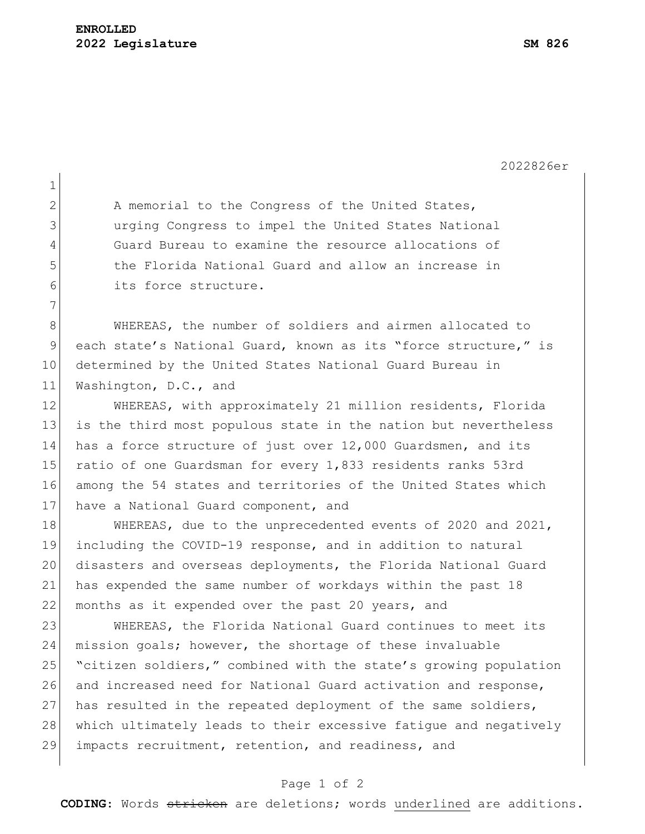2022826er 1 2 A memorial to the Congress of the United States, 3 urging Congress to impel the United States National 4 Guard Bureau to examine the resource allocations of 5 the Florida National Guard and allow an increase in 6 its force structure. 7 8 WHEREAS, the number of soldiers and airmen allocated to 9 each state's National Guard, known as its "force structure," is 10 determined by the United States National Guard Bureau in 11 Washington, D.C., and 12 WHEREAS, with approximately 21 million residents, Florida 13 is the third most populous state in the nation but nevertheless 14 has a force structure of just over 12,000 Guardsmen, and its 15 ratio of one Guardsman for every 1,833 residents ranks 53rd 16 among the 54 states and territories of the United States which 17 have a National Guard component, and 18 WHEREAS, due to the unprecedented events of 2020 and 2021, 19 including the COVID-19 response, and in addition to natural 20 disasters and overseas deployments, the Florida National Guard 21 has expended the same number of workdays within the past 18 22 months as it expended over the past 20 years, and 23 WHEREAS, the Florida National Guard continues to meet its 24 mission goals; however, the shortage of these invaluable 25 "citizen soldiers," combined with the state's growing population 26 and increased need for National Guard activation and response, 27 has resulted in the repeated deployment of the same soldiers, 28 which ultimately leads to their excessive fatique and negatively 29 impacts recruitment, retention, and readiness, and

## Page 1 of 2

**CODING**: Words stricken are deletions; words underlined are additions.